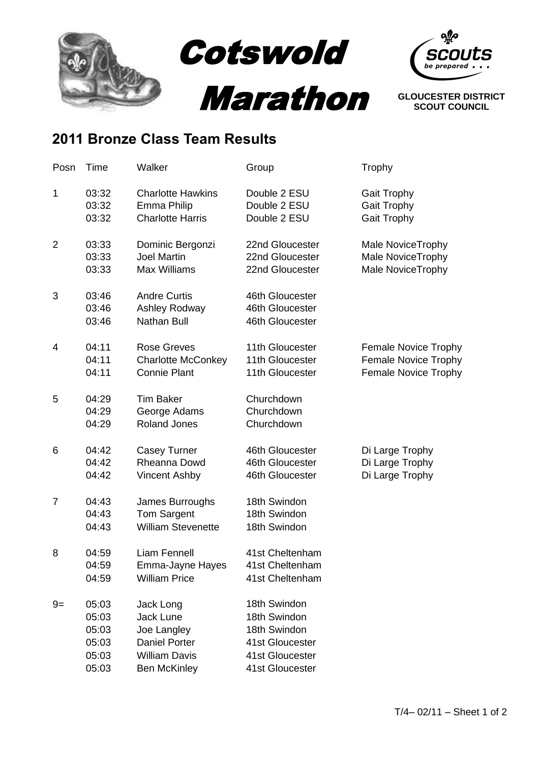



## **2011 Bronze Class Team Results**

| Posn           | Time                                               | Walker                                                                                                       | Group                                                                                                 | Trophy                                                                                    |
|----------------|----------------------------------------------------|--------------------------------------------------------------------------------------------------------------|-------------------------------------------------------------------------------------------------------|-------------------------------------------------------------------------------------------|
| 1              | 03:32<br>03:32<br>03:32                            | <b>Charlotte Hawkins</b><br>Emma Philip<br><b>Charlotte Harris</b>                                           | Double 2 ESU<br>Double 2 ESU<br>Double 2 ESU                                                          | <b>Gait Trophy</b><br><b>Gait Trophy</b><br><b>Gait Trophy</b>                            |
| $\overline{2}$ | 03:33<br>03:33<br>03:33                            | Dominic Bergonzi<br><b>Joel Martin</b><br><b>Max Williams</b>                                                | 22nd Gloucester<br>22nd Gloucester<br>22nd Gloucester                                                 | <b>Male NoviceTrophy</b><br>Male NoviceTrophy<br>Male NoviceTrophy                        |
| 3              | 03:46<br>03:46<br>03:46                            | <b>Andre Curtis</b><br>Ashley Rodway<br><b>Nathan Bull</b>                                                   | 46th Gloucester<br>46th Gloucester<br>46th Gloucester                                                 |                                                                                           |
| 4              | 04:11<br>04:11<br>04:11                            | <b>Rose Greves</b><br><b>Charlotte McConkey</b><br><b>Connie Plant</b>                                       | 11th Gloucester<br>11th Gloucester<br>11th Gloucester                                                 | <b>Female Novice Trophy</b><br><b>Female Novice Trophy</b><br><b>Female Novice Trophy</b> |
| 5              | 04:29<br>04:29<br>04:29                            | <b>Tim Baker</b><br>George Adams<br><b>Roland Jones</b>                                                      | Churchdown<br>Churchdown<br>Churchdown                                                                |                                                                                           |
| 6              | 04:42<br>04:42<br>04:42                            | <b>Casey Turner</b><br>Rheanna Dowd<br><b>Vincent Ashby</b>                                                  | 46th Gloucester<br>46th Gloucester<br>46th Gloucester                                                 | Di Large Trophy<br>Di Large Trophy<br>Di Large Trophy                                     |
| 7              | 04:43<br>04:43<br>04:43                            | James Burroughs<br><b>Tom Sargent</b><br><b>William Stevenette</b>                                           | 18th Swindon<br>18th Swindon<br>18th Swindon                                                          |                                                                                           |
| 8              | 04:59<br>04:59<br>04:59                            | <b>Liam Fennell</b><br>Emma-Jayne Hayes<br><b>William Price</b>                                              | 41st Cheltenham<br>41st Cheltenham<br>41st Cheltenham                                                 |                                                                                           |
| $9=$           | 05:03<br>05:03<br>05:03<br>05:03<br>05:03<br>05:03 | Jack Long<br>Jack Lune<br>Joe Langley<br><b>Daniel Porter</b><br><b>William Davis</b><br><b>Ben McKinley</b> | 18th Swindon<br>18th Swindon<br>18th Swindon<br>41st Gloucester<br>41st Gloucester<br>41st Gloucester |                                                                                           |